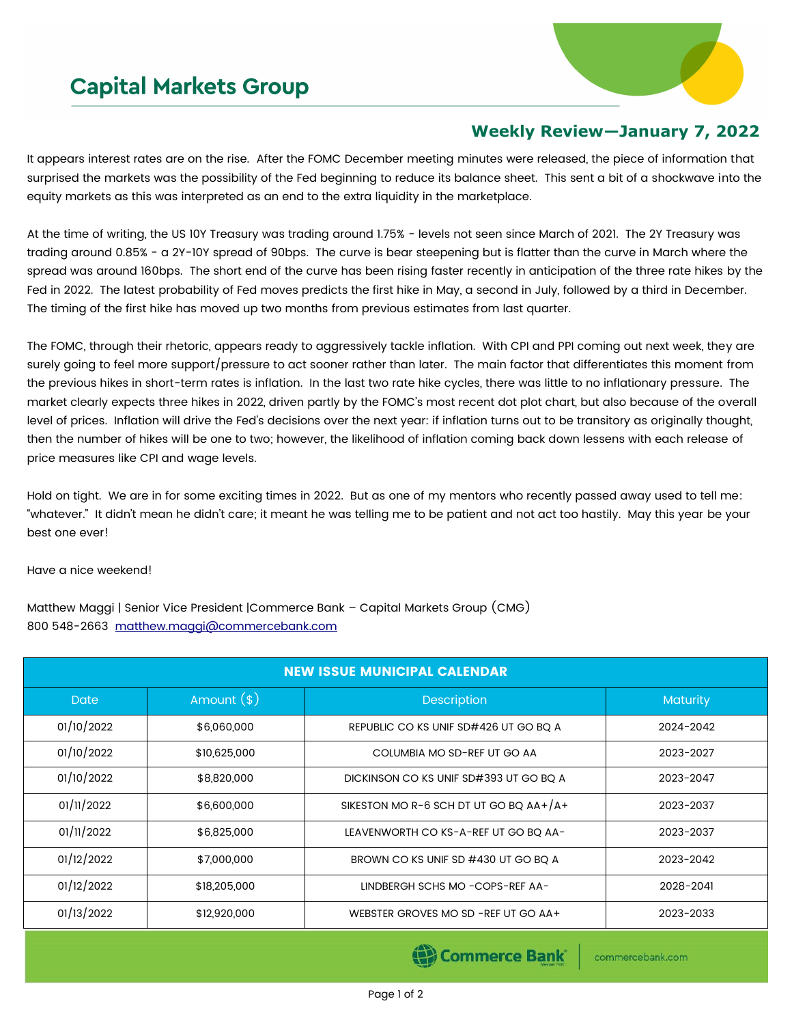## **Capital Markets Group**



## **Weekly Review—January 7, 2022**

It appears interest rates are on the rise. After the FOMC December meeting minutes were released, the piece of information that surprised the markets was the possibility of the Fed beginning to reduce its balance sheet. This sent a bit of a shockwave into the equity markets as this was interpreted as an end to the extra liquidity in the marketplace.

At the time of writing, the US 10Y Treasury was trading around 1.75% - levels not seen since March of 2021. The 2Y Treasury was trading around 0.85% - a 2Y-10Y spread of 90bps. The curve is bear steepening but is flatter than the curve in March where the spread was around 160bps. The short end of the curve has been rising faster recently in anticipation of the three rate hikes by the Fed in 2022. The latest probability of Fed moves predicts the first hike in May, a second in July, followed by a third in December. The timing of the first hike has moved up two months from previous estimates from last quarter.

The FOMC, through their rhetoric, appears ready to aggressively tackle inflation. With CPI and PPI coming out next week, they are surely going to feel more support/pressure to act sooner rather than later. The main factor that differentiates this moment from the previous hikes in short-term rates is inflation. In the last two rate hike cycles, there was little to no inflationary pressure. The market clearly expects three hikes in 2022, driven partly by the FOMC's most recent dot plot chart, but also because of the overall level of prices. Inflation will drive the Fed's decisions over the next year: if inflation turns out to be transitory as originally thought, then the number of hikes will be one to two; however, the likelihood of inflation coming back down lessens with each release of price measures like CPI and wage levels.

Hold on tight. We are in for some exciting times in 2022. But as one of my mentors who recently passed away used to tell me: "whatever." It didn't mean he didn't care; it meant he was telling me to be patient and not act too hastily. May this year be your best one ever!

## Have a nice weekend!

Matthew Maggi | Senior Vice President |Commerce Bank – Capital Markets Group (CMG) 800 548-2663 [matthew.maggi@commercebank.com](mailto:matthew.maggi@commercebank.com)

| <b>NEW ISSUE MUNICIPAL CALENDAR</b> |               |                                        |           |  |  |  |
|-------------------------------------|---------------|----------------------------------------|-----------|--|--|--|
| <b>Date</b>                         | Amount $(\$)$ | <b>Description</b>                     | Maturity  |  |  |  |
| 01/10/2022                          | \$6,060,000   | REPUBLIC CO KS UNIF SD#426 UT GO BQ A  | 2024-2042 |  |  |  |
| 01/10/2022                          | \$10,625,000  | COLUMBIA MO SD-REF UT GO AA            | 2023-2027 |  |  |  |
| 01/10/2022                          | \$8,820,000   | DICKINSON CO KS UNIF SD#393 UT GO BQ A | 2023-2047 |  |  |  |
| 01/11/2022                          | \$6,600,000   | SIKESTON MO R-6 SCH DT UT GO BQ AA+/A+ | 2023-2037 |  |  |  |
| 01/11/2022                          | \$6,825,000   | LEAVENWORTH CO KS-A-REF UT GO BQ AA-   | 2023-2037 |  |  |  |
| 01/12/2022                          | \$7,000,000   | BROWN CO KS UNIF SD #430 UT GO BQ A    | 2023-2042 |  |  |  |
| 01/12/2022                          | \$18,205,000  | LINDBERGH SCHS MO -COPS-REF AA-        | 2028-2041 |  |  |  |
| 01/13/2022                          | \$12,920,000  | WEBSTER GROVES MO SD -REF UT GO AA+    | 2023-2033 |  |  |  |

Commerce Bank

commercebank.com